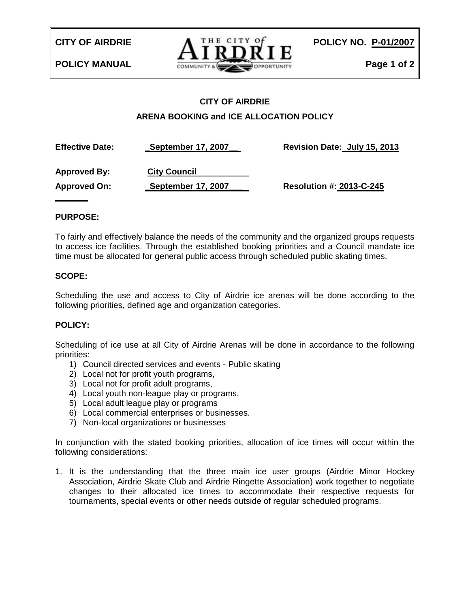

# **CITY OF AIRDRIE ARENA BOOKING and ICE ALLOCATION POLICY**

**Effective Date: \_September 17, 2007\_\_ Revision Date: July 15, 2013 Approved By: City Council Approved On: \_September 17, 2007\_\_\_ Resolution #: 2013-C-245** 

### **PURPOSE:**

**\_\_\_\_\_\_\_**

To fairly and effectively balance the needs of the community and the organized groups requests to access ice facilities. Through the established booking priorities and a Council mandate ice time must be allocated for general public access through scheduled public skating times.

#### **SCOPE:**

Scheduling the use and access to City of Airdrie ice arenas will be done according to the following priorities, defined age and organization categories.

### **POLICY:**

Scheduling of ice use at all City of Airdrie Arenas will be done in accordance to the following priorities:

- 1) Council directed services and events Public skating
- 2) Local not for profit youth programs,
- 3) Local not for profit adult programs,
- 4) Local youth non-league play or programs,
- 5) Local adult league play or programs
- 6) Local commercial enterprises or businesses.
- 7) Non-local organizations or businesses

In conjunction with the stated booking priorities, allocation of ice times will occur within the following considerations:

1. It is the understanding that the three main ice user groups (Airdrie Minor Hockey Association, Airdrie Skate Club and Airdrie Ringette Association) work together to negotiate changes to their allocated ice times to accommodate their respective requests for tournaments, special events or other needs outside of regular scheduled programs.